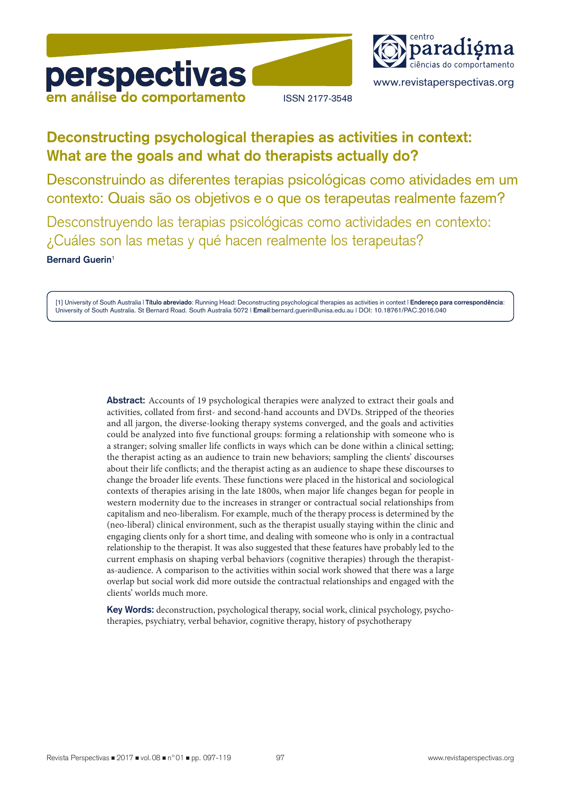



www.revistaperspectivas.org

ISSN 2177-3548

# **Deconstructing psychological therapies as activities in context: What are the goals and what do therapists actually do?**

Desconstruindo as diferentes terapias psicológicas como atividades em um contexto: Quais são os objetivos e o que os terapeutas realmente fazem?

Desconstruyendo las terapias psicológicas como actividades en contexto: ¿Cuáles son las metas y qué hacen realmente los terapeutas?

**Bernard Guerin**<sup>1</sup>

[1] University of South Australia | **Título abreviado**: Running Head: Deconstructing psychological therapies as activities in context | **Endereço para correspondência**: University of South Australia. St Bernard Road. South Australia 5072 | **Email**:bernard.guerin@unisa.edu.au | DOI: 10.18761/PAC.2016.040

> **Abstract:** Accounts of 19 psychological therapies were analyzed to extract their goals and activities, collated from first- and second-hand accounts and DVDs. Stripped of the theories and all jargon, the diverse-looking therapy systems converged, and the goals and activities could be analyzed into five functional groups: forming a relationship with someone who is a stranger; solving smaller life conflicts in ways which can be done within a clinical setting; the therapist acting as an audience to train new behaviors; sampling the clients' discourses about their life conflicts; and the therapist acting as an audience to shape these discourses to change the broader life events. These functions were placed in the historical and sociological contexts of therapies arising in the late 1800s, when major life changes began for people in western modernity due to the increases in stranger or contractual social relationships from capitalism and neo-liberalism. For example, much of the therapy process is determined by the (neo-liberal) clinical environment, such as the therapist usually staying within the clinic and engaging clients only for a short time, and dealing with someone who is only in a contractual relationship to the therapist. It was also suggested that these features have probably led to the current emphasis on shaping verbal behaviors (cognitive therapies) through the therapistas-audience. A comparison to the activities within social work showed that there was a large overlap but social work did more outside the contractual relationships and engaged with the clients' worlds much more.

> **Key Words:** deconstruction, psychological therapy, social work, clinical psychology, psychotherapies, psychiatry, verbal behavior, cognitive therapy, history of psychotherapy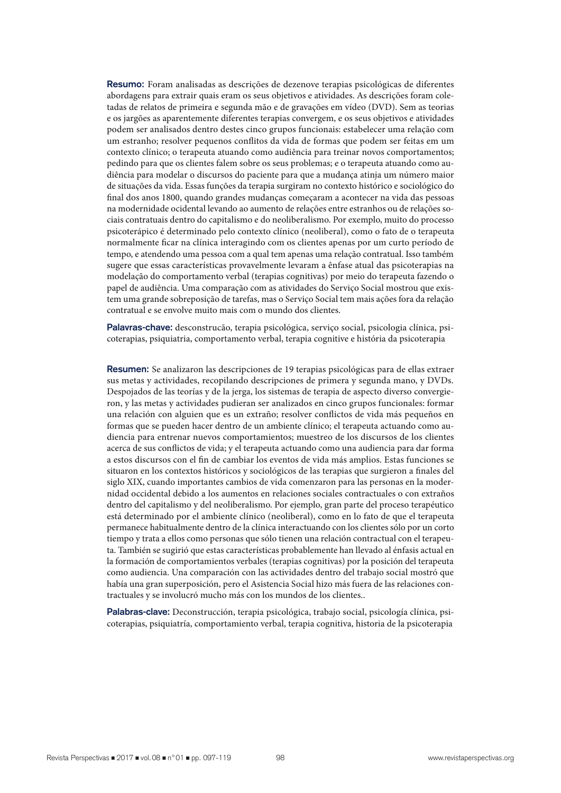**Resumo:** Foram analisadas as descrições de dezenove terapias psicológicas de diferentes abordagens para extrair quais eram os seus objetivos e atividades. As descrições foram coletadas de relatos de primeira e segunda mão e de gravações em vídeo (DVD). Sem as teorias e os jargões as aparentemente diferentes terapias convergem, e os seus objetivos e atividades podem ser analisados dentro destes cinco grupos funcionais: estabelecer uma relação com um estranho; resolver pequenos conflitos da vida de formas que podem ser feitas em um contexto clínico; o terapeuta atuando como audiência para treinar novos comportamentos; pedindo para que os clientes falem sobre os seus problemas; e o terapeuta atuando como audiência para modelar o discursos do paciente para que a mudança atinja um número maior de situações da vida. Essas funções da terapia surgiram no contexto histórico e sociológico do final dos anos 1800, quando grandes mudanças começaram a acontecer na vida das pessoas na modernidade ocidental levando ao aumento de relações entre estranhos ou de relações sociais contratuais dentro do capitalismo e do neoliberalismo. Por exemplo, muito do processo psicoterápico é determinado pelo contexto clínico (neoliberal), como o fato de o terapeuta normalmente ficar na clínica interagindo com os clientes apenas por um curto período de tempo, e atendendo uma pessoa com a qual tem apenas uma relação contratual. Isso também sugere que essas características provavelmente levaram a ênfase atual das psicoterapias na modelação do comportamento verbal (terapias cognitivas) por meio do terapeuta fazendo o papel de audiência. Uma comparação com as atividades do Serviço Social mostrou que existem uma grande sobreposição de tarefas, mas o Serviço Social tem mais ações fora da relação contratual e se envolve muito mais com o mundo dos clientes.

**Palavras-chave:** desconstrucão, terapia psicológica, serviço social, psicologia clínica, psicoterapias, psiquiatria, comportamento verbal, terapia cognitive e história da psicoterapia

**Resumen:** Se analizaron las descripciones de 19 terapias psicológicas para de ellas extraer sus metas y actividades, recopilando descripciones de primera y segunda mano, y DVDs. Despojados de las teorías y de la jerga, los sistemas de terapia de aspecto diverso convergieron, y las metas y actividades pudieran ser analizados en cinco grupos funcionales: formar una relación con alguien que es un extraño; resolver conflictos de vida más pequeños en formas que se pueden hacer dentro de un ambiente clínico; el terapeuta actuando como audiencia para entrenar nuevos comportamientos; muestreo de los discursos de los clientes acerca de sus conflictos de vida; y el terapeuta actuando como una audiencia para dar forma a estos discursos con el fin de cambiar los eventos de vida más amplios. Estas funciones se situaron en los contextos históricos y sociológicos de las terapias que surgieron a finales del siglo XIX, cuando importantes cambios de vida comenzaron para las personas en la modernidad occidental debido a los aumentos en relaciones sociales contractuales o con extraños dentro del capitalismo y del neoliberalismo. Por ejemplo, gran parte del proceso terapéutico está determinado por el ambiente clínico (neoliberal), como en lo fato de que el terapeuta permanece habitualmente dentro de la clínica interactuando con los clientes sólo por un corto tiempo y trata a ellos como personas que sólo tienen una relación contractual con el terapeuta. También se sugirió que estas características probablemente han llevado al énfasis actual en la formación de comportamientos verbales (terapias cognitivas) por la posición del terapeuta como audiencia. Una comparación con las actividades dentro del trabajo social mostró que había una gran superposición, pero el Asistencia Social hizo más fuera de las relaciones contractuales y se involucró mucho más con los mundos de los clientes..

**Palabras-clave:** Deconstrucción, terapia psicológica, trabajo social, psicología clínica, psicoterapias, psiquiatría, comportamiento verbal, terapia cognitiva, historia de la psicoterapia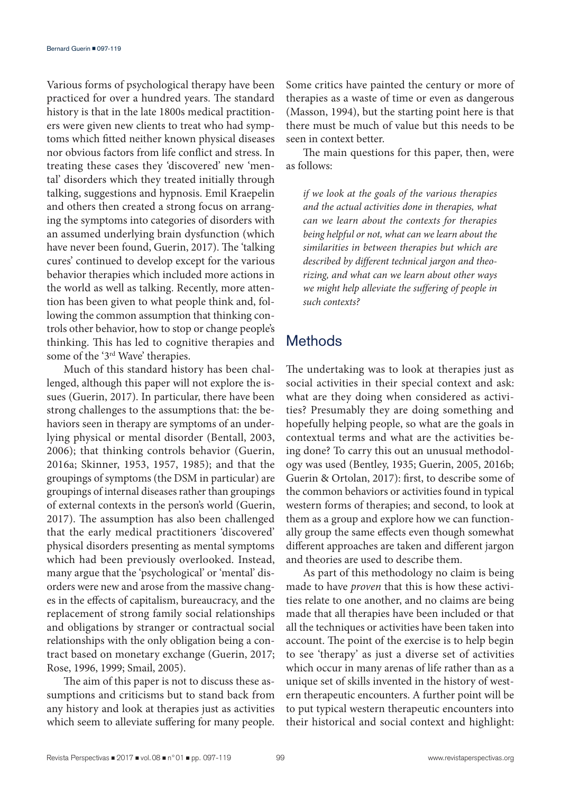Various forms of psychological therapy have been practiced for over a hundred years. The standard history is that in the late 1800s medical practitioners were given new clients to treat who had symptoms which fitted neither known physical diseases nor obvious factors from life conflict and stress. In treating these cases they 'discovered' new 'mental' disorders which they treated initially through talking, suggestions and hypnosis. Emil Kraepelin and others then created a strong focus on arranging the symptoms into categories of disorders with an assumed underlying brain dysfunction (which have never been found, Guerin, 2017). The 'talking cures' continued to develop except for the various behavior therapies which included more actions in the world as well as talking. Recently, more attention has been given to what people think and, following the common assumption that thinking controls other behavior, how to stop or change people's thinking. This has led to cognitive therapies and some of the '3rd Wave' therapies.

Much of this standard history has been challenged, although this paper will not explore the issues (Guerin, 2017). In particular, there have been strong challenges to the assumptions that: the behaviors seen in therapy are symptoms of an underlying physical or mental disorder (Bentall, 2003, 2006); that thinking controls behavior (Guerin, 2016a; Skinner, 1953, 1957, 1985); and that the groupings of symptoms (the DSM in particular) are groupings of internal diseases rather than groupings of external contexts in the person's world (Guerin, 2017). The assumption has also been challenged that the early medical practitioners 'discovered' physical disorders presenting as mental symptoms which had been previously overlooked. Instead, many argue that the 'psychological' or 'mental' disorders were new and arose from the massive changes in the effects of capitalism, bureaucracy, and the replacement of strong family social relationships and obligations by stranger or contractual social relationships with the only obligation being a contract based on monetary exchange (Guerin, 2017; Rose, 1996, 1999; Smail, 2005).

The aim of this paper is not to discuss these assumptions and criticisms but to stand back from any history and look at therapies just as activities which seem to alleviate suffering for many people.

Some critics have painted the century or more of therapies as a waste of time or even as dangerous (Masson, 1994), but the starting point here is that there must be much of value but this needs to be seen in context better.

The main questions for this paper, then, were as follows:

*if we look at the goals of the various therapies and the actual activities done in therapies, what can we learn about the contexts for therapies being helpful or not, what can we learn about the similarities in between therapies but which are described by different technical jargon and theorizing, and what can we learn about other ways we might help alleviate the suffering of people in such contexts?*

# Methods

The undertaking was to look at therapies just as social activities in their special context and ask: what are they doing when considered as activities? Presumably they are doing something and hopefully helping people, so what are the goals in contextual terms and what are the activities being done? To carry this out an unusual methodology was used (Bentley, 1935; Guerin, 2005, 2016b; Guerin & Ortolan, 2017): first, to describe some of the common behaviors or activities found in typical western forms of therapies; and second, to look at them as a group and explore how we can functionally group the same effects even though somewhat different approaches are taken and different jargon and theories are used to describe them.

As part of this methodology no claim is being made to have *proven* that this is how these activities relate to one another, and no claims are being made that all therapies have been included or that all the techniques or activities have been taken into account. The point of the exercise is to help begin to see 'therapy' as just a diverse set of activities which occur in many arenas of life rather than as a unique set of skills invented in the history of western therapeutic encounters. A further point will be to put typical western therapeutic encounters into their historical and social context and highlight: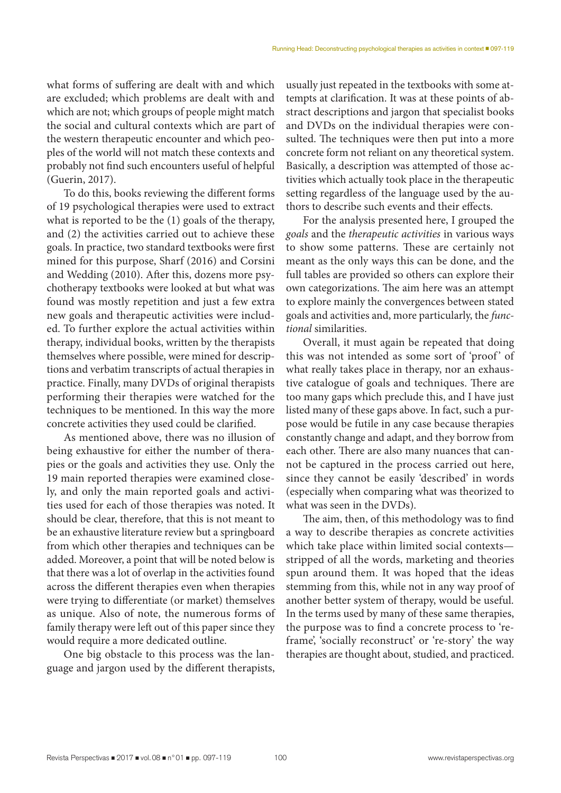what forms of suffering are dealt with and which are excluded; which problems are dealt with and which are not; which groups of people might match the social and cultural contexts which are part of the western therapeutic encounter and which peoples of the world will not match these contexts and probably not find such encounters useful of helpful (Guerin, 2017).

To do this, books reviewing the different forms of 19 psychological therapies were used to extract what is reported to be the (1) goals of the therapy, and (2) the activities carried out to achieve these goals. In practice, two standard textbooks were first mined for this purpose, Sharf (2016) and Corsini and Wedding (2010). After this, dozens more psychotherapy textbooks were looked at but what was found was mostly repetition and just a few extra new goals and therapeutic activities were included. To further explore the actual activities within therapy, individual books, written by the therapists themselves where possible, were mined for descriptions and verbatim transcripts of actual therapies in practice. Finally, many DVDs of original therapists performing their therapies were watched for the techniques to be mentioned. In this way the more concrete activities they used could be clarified.

As mentioned above, there was no illusion of being exhaustive for either the number of therapies or the goals and activities they use. Only the 19 main reported therapies were examined closely, and only the main reported goals and activities used for each of those therapies was noted. It should be clear, therefore, that this is not meant to be an exhaustive literature review but a springboard from which other therapies and techniques can be added. Moreover, a point that will be noted below is that there was a lot of overlap in the activities found across the different therapies even when therapies were trying to differentiate (or market) themselves as unique. Also of note, the numerous forms of family therapy were left out of this paper since they would require a more dedicated outline.

One big obstacle to this process was the language and jargon used by the different therapists, usually just repeated in the textbooks with some attempts at clarification. It was at these points of abstract descriptions and jargon that specialist books and DVDs on the individual therapies were consulted. The techniques were then put into a more concrete form not reliant on any theoretical system. Basically, a description was attempted of those activities which actually took place in the therapeutic setting regardless of the language used by the authors to describe such events and their effects.

For the analysis presented here, I grouped the *goals* and the *therapeutic activities* in various ways to show some patterns. These are certainly not meant as the only ways this can be done, and the full tables are provided so others can explore their own categorizations. The aim here was an attempt to explore mainly the convergences between stated goals and activities and, more particularly, the *functional* similarities.

Overall, it must again be repeated that doing this was not intended as some sort of 'proof' of what really takes place in therapy, nor an exhaustive catalogue of goals and techniques. There are too many gaps which preclude this, and I have just listed many of these gaps above. In fact, such a purpose would be futile in any case because therapies constantly change and adapt, and they borrow from each other. There are also many nuances that cannot be captured in the process carried out here, since they cannot be easily 'described' in words (especially when comparing what was theorized to what was seen in the DVDs).

The aim, then, of this methodology was to find a way to describe therapies as concrete activities which take place within limited social contexts stripped of all the words, marketing and theories spun around them. It was hoped that the ideas stemming from this, while not in any way proof of another better system of therapy, would be useful. In the terms used by many of these same therapies, the purpose was to find a concrete process to 'reframe', 'socially reconstruct' or 're-story' the way therapies are thought about, studied, and practiced.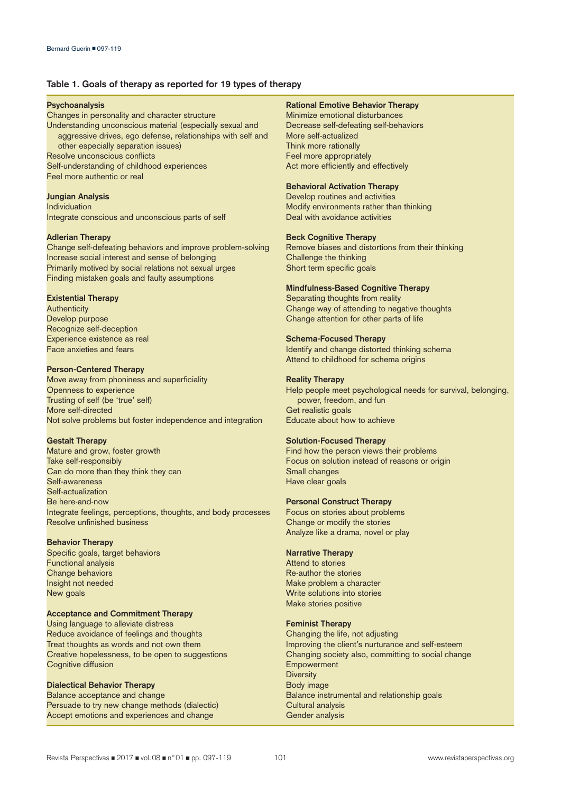## **Table 1. Goals of therapy as reported for 19 types of therapy**

#### **Psychoanalysis**

Changes in personality and character structure Understanding unconscious material (especially sexual and aggressive drives, ego defense, relationships with self and other especially separation issues) Resolve unconscious conflicts Self-understanding of childhood experiences Feel more authentic or real

#### **Jungian Analysis**

Individuation Integrate conscious and unconscious parts of self

#### **Adlerian Therapy**

Change self-defeating behaviors and improve problem-solving Increase social interest and sense of belonging Primarily motived by social relations not sexual urges Finding mistaken goals and faulty assumptions

## **Existential Therapy**

**Authenticity** Develop purpose Recognize self-deception Experience existence as real Face anxieties and fears

#### **Person-Centered Therapy**

Move away from phoniness and superficiality Openness to experience Trusting of self (be 'true' self) More self-directed Not solve problems but foster independence and integration

#### **Gestalt Therapy**

Mature and grow, foster growth Take self-responsibly Can do more than they think they can Self-awareness Self-actualization Be here-and-now Integrate feelings, perceptions, thoughts, and body processes Resolve unfinished business

## **Behavior Therapy**

Specific goals, target behaviors Functional analysis Change behaviors Insight not needed New goals

## **Acceptance and Commitment Therapy**

Using language to alleviate distress Reduce avoidance of feelings and thoughts Treat thoughts as words and not own them Creative hopelessness, to be open to suggestions Cognitive diffusion

## **Dialectical Behavior Therapy**

Balance acceptance and change Persuade to try new change methods (dialectic) Accept emotions and experiences and change

## **Rational Emotive Behavior Therapy**

Minimize emotional disturbances Decrease self-defeating self-behaviors More self-actualized Think more rationally Feel more appropriately Act more efficiently and effectively

## **Behavioral Activation Therapy**

Develop routines and activities Modify environments rather than thinking Deal with avoidance activities

### **Beck Cognitive Therapy**

Remove biases and distortions from their thinking Challenge the thinking Short term specific goals

### **Mindfulness-Based Cognitive Therapy**

Separating thoughts from reality Change way of attending to negative thoughts Change attention for other parts of life

### **Schema-Focused Therapy**

Identify and change distorted thinking schema Attend to childhood for schema origins

#### **Reality Therapy**

Help people meet psychological needs for survival, belonging, power, freedom, and fun Get realistic goals Educate about how to achieve

## **Solution-Focused Therapy**

Find how the person views their problems Focus on solution instead of reasons or origin Small changes Have clear goals

## **Personal Construct Therapy**

Focus on stories about problems Change or modify the stories Analyze like a drama, novel or play

## **Narrative Therapy**

Attend to stories Re-author the stories Make problem a character Write solutions into stories Make stories positive

### **Feminist Therapy**

Changing the life, not adjusting Improving the client's nurturance and self-esteem Changing society also, committing to social change Empowerment **Diversity** Body image Balance instrumental and relationship goals Cultural analysis Gender analysis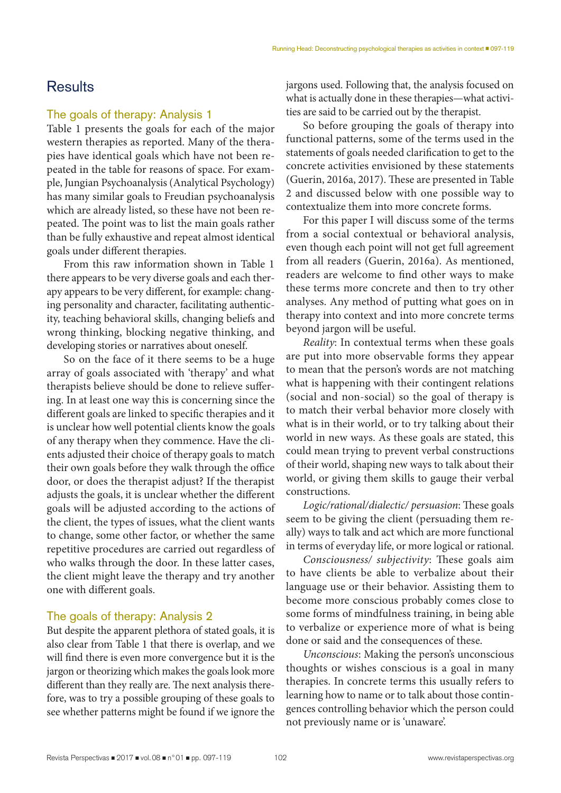# **Results**

## The goals of therapy: Analysis 1

Table 1 presents the goals for each of the major western therapies as reported. Many of the therapies have identical goals which have not been repeated in the table for reasons of space. For example, Jungian Psychoanalysis (Analytical Psychology) has many similar goals to Freudian psychoanalysis which are already listed, so these have not been repeated. The point was to list the main goals rather than be fully exhaustive and repeat almost identical goals under different therapies.

From this raw information shown in Table 1 there appears to be very diverse goals and each therapy appears to be very different, for example: changing personality and character, facilitating authenticity, teaching behavioral skills, changing beliefs and wrong thinking, blocking negative thinking, and developing stories or narratives about oneself.

So on the face of it there seems to be a huge array of goals associated with 'therapy' and what therapists believe should be done to relieve suffering. In at least one way this is concerning since the different goals are linked to specific therapies and it is unclear how well potential clients know the goals of any therapy when they commence. Have the clients adjusted their choice of therapy goals to match their own goals before they walk through the office door, or does the therapist adjust? If the therapist adjusts the goals, it is unclear whether the different goals will be adjusted according to the actions of the client, the types of issues, what the client wants to change, some other factor, or whether the same repetitive procedures are carried out regardless of who walks through the door. In these latter cases, the client might leave the therapy and try another one with different goals.

## The goals of therapy: Analysis 2

But despite the apparent plethora of stated goals, it is also clear from Table 1 that there is overlap, and we will find there is even more convergence but it is the jargon or theorizing which makes the goals look more different than they really are. The next analysis therefore, was to try a possible grouping of these goals to see whether patterns might be found if we ignore the

jargons used. Following that, the analysis focused on what is actually done in these therapies—what activities are said to be carried out by the therapist.

So before grouping the goals of therapy into functional patterns, some of the terms used in the statements of goals needed clarification to get to the concrete activities envisioned by these statements (Guerin, 2016a, 2017). These are presented in Table 2 and discussed below with one possible way to contextualize them into more concrete forms.

For this paper I will discuss some of the terms from a social contextual or behavioral analysis, even though each point will not get full agreement from all readers (Guerin, 2016a). As mentioned, readers are welcome to find other ways to make these terms more concrete and then to try other analyses. Any method of putting what goes on in therapy into context and into more concrete terms beyond jargon will be useful.

*Reality*: In contextual terms when these goals are put into more observable forms they appear to mean that the person's words are not matching what is happening with their contingent relations (social and non-social) so the goal of therapy is to match their verbal behavior more closely with what is in their world, or to try talking about their world in new ways. As these goals are stated, this could mean trying to prevent verbal constructions of their world, shaping new ways to talk about their world, or giving them skills to gauge their verbal constructions.

*Logic/rational/dialectic/ persuasion*: These goals seem to be giving the client (persuading them really) ways to talk and act which are more functional in terms of everyday life, or more logical or rational.

*Consciousness/ subjectivity*: These goals aim to have clients be able to verbalize about their language use or their behavior. Assisting them to become more conscious probably comes close to some forms of mindfulness training, in being able to verbalize or experience more of what is being done or said and the consequences of these.

*Unconscious*: Making the person's unconscious thoughts or wishes conscious is a goal in many therapies. In concrete terms this usually refers to learning how to name or to talk about those contingences controlling behavior which the person could not previously name or is 'unaware'.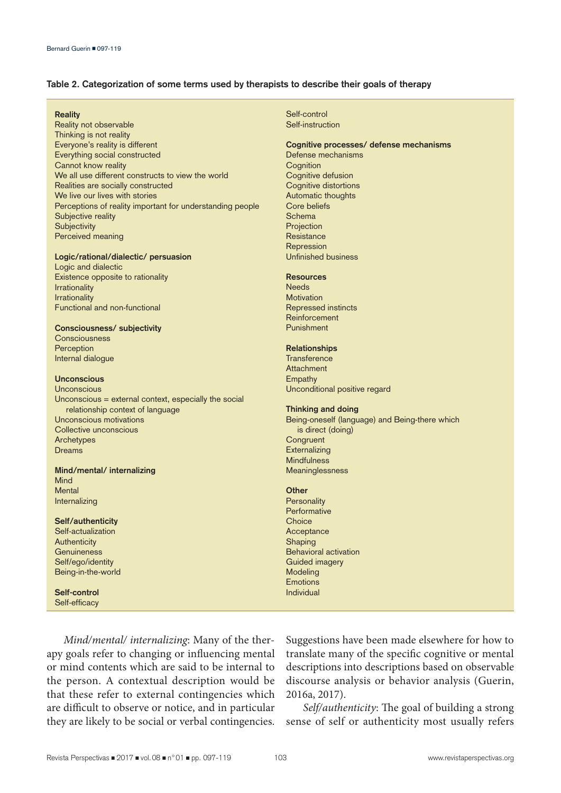## **Table 2. Categorization of some terms used by therapists to describe their goals of therapy**

#### **Reality**

Reality not observable Thinking is not reality Everyone's reality is different Everything social constructed Cannot know reality We all use different constructs to view the world Realities are socially constructed We live our lives with stories Perceptions of reality important for understanding people Subjective reality **Subjectivity** Perceived meaning

#### **Logic/rational/dialectic/ persuasion**

Logic and dialectic Existence opposite to rationality Irrationality Irrationality Functional and non-functional

#### **Consciousness/ subjectivity**

**Consciousness** Perception Internal dialogue

## **Unconscious**

**Unconscious** Unconscious = external context, especially the social relationship context of language Unconscious motivations Collective unconscious Archetypes Dreams

## **Mind/mental/ internalizing** Mind Mental

**Self/authenticity**

Internalizing

Self-actualization **Authenticity Genuineness** Self/ego/identity Being-in-the-world

**Self-control** Self-efficacy Self-control Self-instruction

## **Cognitive processes/ defense mechanisms**

Defense mechanisms **Cognition** Cognitive defusion Cognitive distortions Automatic thoughts Core beliefs **Schema** Projection **Resistance** Repression Unfinished business

#### **Resources**

**Needs Motivation** Repressed instincts Reinforcement Punishment

## **Relationships**

**Transference Attachment** Empathy Unconditional positive regard

## **Thinking and doing**

Being-oneself (language) and Being-there which is direct (doing) **Congruent Externalizing Mindfulness** Meaninglessness

## **Other**

**Personality Performative Choice** Acceptance **Shaping** Behavioral activation Guided imagery Modeling Emotions Individual

*Mind/mental/ internalizing*: Many of the therapy goals refer to changing or influencing mental or mind contents which are said to be internal to the person. A contextual description would be that these refer to external contingencies which are difficult to observe or notice, and in particular they are likely to be social or verbal contingencies.

Suggestions have been made elsewhere for how to translate many of the specific cognitive or mental descriptions into descriptions based on observable discourse analysis or behavior analysis (Guerin, 2016a, 2017).

*Self/authenticity*: The goal of building a strong sense of self or authenticity most usually refers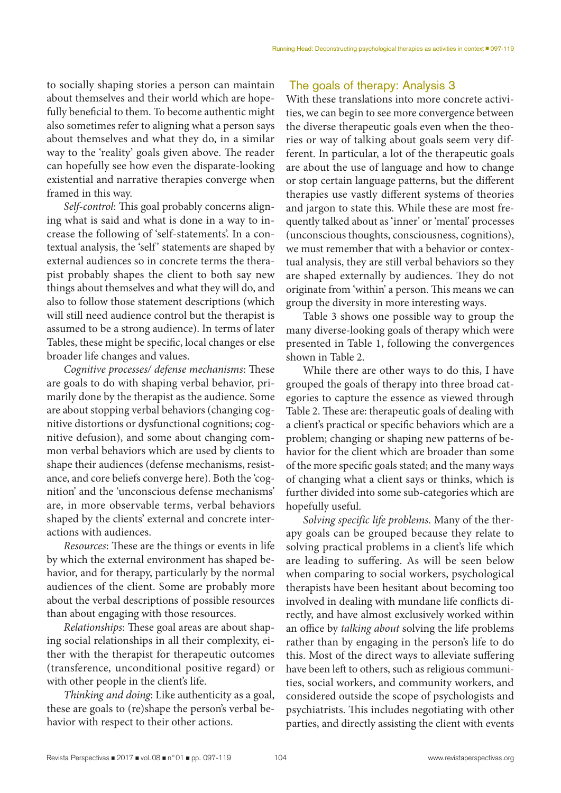to socially shaping stories a person can maintain about themselves and their world which are hopefully beneficial to them. To become authentic might also sometimes refer to aligning what a person says about themselves and what they do, in a similar way to the 'reality' goals given above. The reader can hopefully see how even the disparate-looking existential and narrative therapies converge when framed in this way.

*Self-control*: This goal probably concerns aligning what is said and what is done in a way to increase the following of 'self-statements'. In a contextual analysis, the 'self' statements are shaped by external audiences so in concrete terms the therapist probably shapes the client to both say new things about themselves and what they will do, and also to follow those statement descriptions (which will still need audience control but the therapist is assumed to be a strong audience). In terms of later Tables, these might be specific, local changes or else broader life changes and values.

*Cognitive processes/ defense mechanisms*: These are goals to do with shaping verbal behavior, primarily done by the therapist as the audience. Some are about stopping verbal behaviors (changing cognitive distortions or dysfunctional cognitions; cognitive defusion), and some about changing common verbal behaviors which are used by clients to shape their audiences (defense mechanisms, resistance, and core beliefs converge here). Both the 'cognition' and the 'unconscious defense mechanisms' are, in more observable terms, verbal behaviors shaped by the clients' external and concrete interactions with audiences.

*Resources*: These are the things or events in life by which the external environment has shaped behavior, and for therapy, particularly by the normal audiences of the client. Some are probably more about the verbal descriptions of possible resources than about engaging with those resources.

*Relationships*: These goal areas are about shaping social relationships in all their complexity, either with the therapist for therapeutic outcomes (transference, unconditional positive regard) or with other people in the client's life.

*Thinking and doing*: Like authenticity as a goal, these are goals to (re)shape the person's verbal behavior with respect to their other actions.

# The goals of therapy: Analysis 3

With these translations into more concrete activities, we can begin to see more convergence between the diverse therapeutic goals even when the theories or way of talking about goals seem very different. In particular, a lot of the therapeutic goals are about the use of language and how to change or stop certain language patterns, but the different therapies use vastly different systems of theories and jargon to state this. While these are most frequently talked about as 'inner' or 'mental' processes (unconscious thoughts, consciousness, cognitions), we must remember that with a behavior or contextual analysis, they are still verbal behaviors so they are shaped externally by audiences. They do not originate from 'within' a person. This means we can group the diversity in more interesting ways.

Table 3 shows one possible way to group the many diverse-looking goals of therapy which were presented in Table 1, following the convergences shown in Table 2.

While there are other ways to do this, I have grouped the goals of therapy into three broad categories to capture the essence as viewed through Table 2. These are: therapeutic goals of dealing with a client's practical or specific behaviors which are a problem; changing or shaping new patterns of behavior for the client which are broader than some of the more specific goals stated; and the many ways of changing what a client says or thinks, which is further divided into some sub-categories which are hopefully useful.

*Solving specific life problems*. Many of the therapy goals can be grouped because they relate to solving practical problems in a client's life which are leading to suffering. As will be seen below when comparing to social workers, psychological therapists have been hesitant about becoming too involved in dealing with mundane life conflicts directly, and have almost exclusively worked within an office by *talking about* solving the life problems rather than by engaging in the person's life to do this. Most of the direct ways to alleviate suffering have been left to others, such as religious communities, social workers, and community workers, and considered outside the scope of psychologists and psychiatrists. This includes negotiating with other parties, and directly assisting the client with events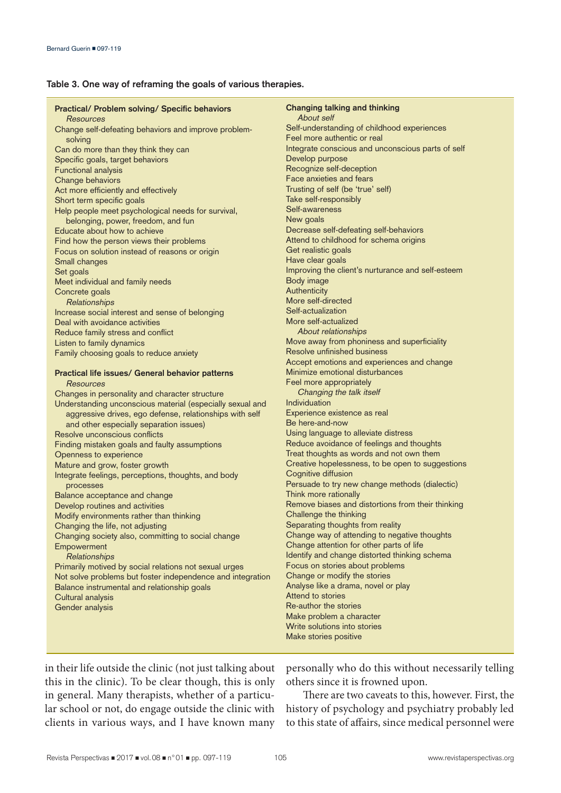## **Table 3. One way of reframing the goals of various therapies.**

| <b>Practical/ Problem solving/ Specific behaviors</b><br><b>Resources</b> | Changing talking and thinking<br>About self                                |
|---------------------------------------------------------------------------|----------------------------------------------------------------------------|
| Change self-defeating behaviors and improve problem-                      | Self-understanding of childhood experiences<br>Feel more authentic or real |
| solving<br>Can do more than they think they can                           | Integrate conscious and unconscious parts of self                          |
| Specific goals, target behaviors                                          | Develop purpose                                                            |
| Functional analysis                                                       | Recognize self-deception                                                   |
| Change behaviors                                                          | Face anxieties and fears                                                   |
| Act more efficiently and effectively                                      | Trusting of self (be 'true' self)                                          |
| Short term specific goals                                                 | Take self-responsibly                                                      |
| Help people meet psychological needs for survival,                        | Self-awareness                                                             |
| belonging, power, freedom, and fun                                        | New goals                                                                  |
| Educate about how to achieve                                              | Decrease self-defeating self-behaviors                                     |
| Find how the person views their problems                                  | Attend to childhood for schema origins                                     |
| Focus on solution instead of reasons or origin                            | Get realistic goals                                                        |
| Small changes                                                             | Have clear goals                                                           |
| Set goals                                                                 | Improving the client's nurturance and self-esteem                          |
| Meet individual and family needs                                          | Body image                                                                 |
| Concrete goals                                                            | Authenticity                                                               |
| Relationships                                                             | More self-directed                                                         |
| Increase social interest and sense of belonging                           | Self-actualization                                                         |
| Deal with avoidance activities                                            | More self-actualized                                                       |
| Reduce family stress and conflict                                         | About relationships                                                        |
| Listen to family dynamics                                                 | Move away from phoniness and superficiality<br>Resolve unfinished business |
| Family choosing goals to reduce anxiety                                   | Accept emotions and experiences and change                                 |
| Practical life issues/ General behavior patterns                          | Minimize emotional disturbances                                            |
| <b>Resources</b>                                                          | Feel more appropriately                                                    |
| Changes in personality and character structure                            | Changing the talk itself                                                   |
| Understanding unconscious material (especially sexual and                 | Individuation                                                              |
| aggressive drives, ego defense, relationships with self                   | Experience existence as real                                               |
| and other especially separation issues)                                   | Be here-and-now                                                            |
| Resolve unconscious conflicts                                             | Using language to alleviate distress                                       |
| Finding mistaken goals and faulty assumptions                             | Reduce avoidance of feelings and thoughts                                  |
| Openness to experience                                                    | Treat thoughts as words and not own them                                   |
| Mature and grow, foster growth                                            | Creative hopelessness, to be open to suggestions                           |
| Integrate feelings, perceptions, thoughts, and body                       | Cognitive diffusion                                                        |
| processes                                                                 | Persuade to try new change methods (dialectic)                             |
| Balance acceptance and change                                             | Think more rationally                                                      |
| Develop routines and activities                                           | Remove biases and distortions from their thinking                          |
| Modify environments rather than thinking                                  | Challenge the thinking                                                     |
| Changing the life, not adjusting                                          | Separating thoughts from reality                                           |
| Changing society also, committing to social change                        | Change way of attending to negative thoughts                               |
| Empowerment                                                               | Change attention for other parts of life                                   |
| Relationships                                                             | Identify and change distorted thinking schema                              |
| Primarily motived by social relations not sexual urges                    | Focus on stories about problems                                            |
| Not solve problems but foster independence and integration                | Change or modify the stories                                               |
| Balance instrumental and relationship goals                               | Analyse like a drama, novel or play                                        |
| Cultural analysis                                                         | Attend to stories                                                          |
| Gender analysis                                                           | Re-author the stories                                                      |
|                                                                           | Make problem a character                                                   |
|                                                                           | Write solutions into stories                                               |
|                                                                           | Make stories positive                                                      |

in their life outside the clinic (not just talking about this in the clinic). To be clear though, this is only in general. Many therapists, whether of a particular school or not, do engage outside the clinic with clients in various ways, and I have known many personally who do this without necessarily telling others since it is frowned upon.

There are two caveats to this, however. First, the history of psychology and psychiatry probably led to this state of affairs, since medical personnel were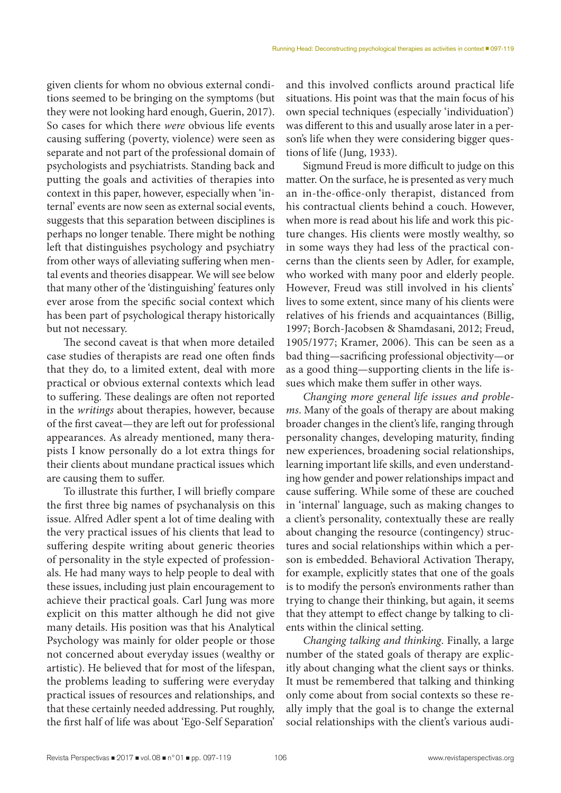given clients for whom no obvious external conditions seemed to be bringing on the symptoms (but they were not looking hard enough, Guerin, 2017). So cases for which there *were* obvious life events causing suffering (poverty, violence) were seen as separate and not part of the professional domain of psychologists and psychiatrists. Standing back and putting the goals and activities of therapies into context in this paper, however, especially when 'internal' events are now seen as external social events, suggests that this separation between disciplines is perhaps no longer tenable. There might be nothing left that distinguishes psychology and psychiatry from other ways of alleviating suffering when mental events and theories disappear. We will see below that many other of the 'distinguishing' features only ever arose from the specific social context which has been part of psychological therapy historically but not necessary.

The second caveat is that when more detailed case studies of therapists are read one often finds that they do, to a limited extent, deal with more practical or obvious external contexts which lead to suffering. These dealings are often not reported in the *writings* about therapies, however, because of the first caveat—they are left out for professional appearances. As already mentioned, many therapists I know personally do a lot extra things for their clients about mundane practical issues which are causing them to suffer.

To illustrate this further, I will briefly compare the first three big names of psychanalysis on this issue. Alfred Adler spent a lot of time dealing with the very practical issues of his clients that lead to suffering despite writing about generic theories of personality in the style expected of professionals. He had many ways to help people to deal with these issues, including just plain encouragement to achieve their practical goals. Carl Jung was more explicit on this matter although he did not give many details. His position was that his Analytical Psychology was mainly for older people or those not concerned about everyday issues (wealthy or artistic). He believed that for most of the lifespan, the problems leading to suffering were everyday practical issues of resources and relationships, and that these certainly needed addressing. Put roughly, the first half of life was about 'Ego-Self Separation'

and this involved conflicts around practical life situations. His point was that the main focus of his own special techniques (especially 'individuation') was different to this and usually arose later in a person's life when they were considering bigger questions of life (Jung, 1933).

Sigmund Freud is more difficult to judge on this matter. On the surface, he is presented as very much an in-the-office-only therapist, distanced from his contractual clients behind a couch. However, when more is read about his life and work this picture changes. His clients were mostly wealthy, so in some ways they had less of the practical concerns than the clients seen by Adler, for example, who worked with many poor and elderly people. However, Freud was still involved in his clients' lives to some extent, since many of his clients were relatives of his friends and acquaintances (Billig, 1997; Borch-Jacobsen & Shamdasani, 2012; Freud, 1905/1977; Kramer, 2006). This can be seen as a bad thing—sacrificing professional objectivity—or as a good thing—supporting clients in the life issues which make them suffer in other ways.

*Changing more general life issues and problems*. Many of the goals of therapy are about making broader changes in the client's life, ranging through personality changes, developing maturity, finding new experiences, broadening social relationships, learning important life skills, and even understanding how gender and power relationships impact and cause suffering. While some of these are couched in 'internal' language, such as making changes to a client's personality, contextually these are really about changing the resource (contingency) structures and social relationships within which a person is embedded. Behavioral Activation Therapy, for example, explicitly states that one of the goals is to modify the person's environments rather than trying to change their thinking, but again, it seems that they attempt to effect change by talking to clients within the clinical setting.

*Changing talking and thinking*. Finally, a large number of the stated goals of therapy are explicitly about changing what the client says or thinks. It must be remembered that talking and thinking only come about from social contexts so these really imply that the goal is to change the external social relationships with the client's various audi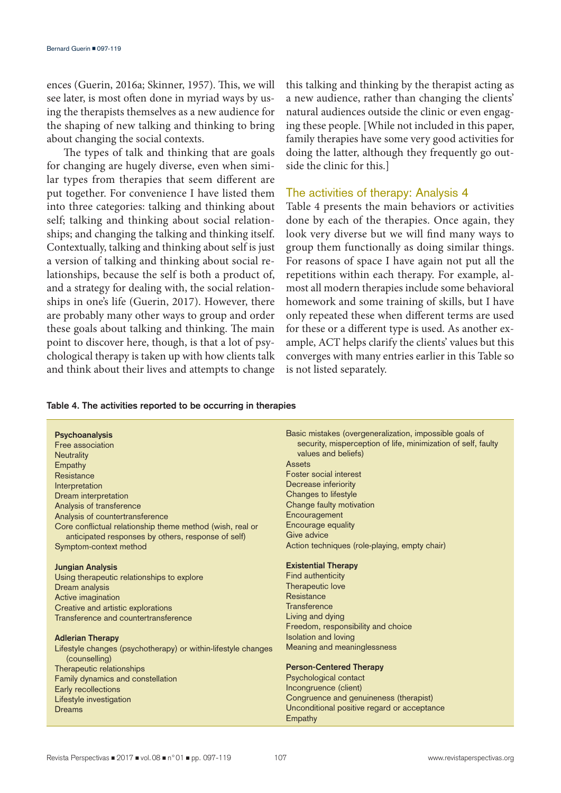ences (Guerin, 2016a; Skinner, 1957). This, we will see later, is most often done in myriad ways by using the therapists themselves as a new audience for the shaping of new talking and thinking to bring about changing the social contexts.

The types of talk and thinking that are goals for changing are hugely diverse, even when similar types from therapies that seem different are put together. For convenience I have listed them into three categories: talking and thinking about self; talking and thinking about social relationships; and changing the talking and thinking itself. Contextually, talking and thinking about self is just a version of talking and thinking about social relationships, because the self is both a product of, and a strategy for dealing with, the social relationships in one's life (Guerin, 2017). However, there are probably many other ways to group and order these goals about talking and thinking. The main point to discover here, though, is that a lot of psychological therapy is taken up with how clients talk and think about their lives and attempts to change this talking and thinking by the therapist acting as a new audience, rather than changing the clients' natural audiences outside the clinic or even engaging these people. [While not included in this paper, family therapies have some very good activities for doing the latter, although they frequently go outside the clinic for this.]

# The activities of therapy: Analysis 4

Table 4 presents the main behaviors or activities done by each of the therapies. Once again, they look very diverse but we will find many ways to group them functionally as doing similar things. For reasons of space I have again not put all the repetitions within each therapy. For example, almost all modern therapies include some behavioral homework and some training of skills, but I have only repeated these when different terms are used for these or a different type is used. As another example, ACT helps clarify the clients' values but this converges with many entries earlier in this Table so is not listed separately.

## **Table 4. The activities reported to be occurring in therapies**

| <b>Psychoanalysis</b>                                                          | Basic mistakes (overgeneralization, impossible goals of       |
|--------------------------------------------------------------------------------|---------------------------------------------------------------|
| Free association                                                               | security, misperception of life, minimization of self, faulty |
| <b>Neutrality</b>                                                              | values and beliefs)                                           |
| Empathy                                                                        | Assets                                                        |
| Resistance                                                                     | Foster social interest                                        |
| Interpretation                                                                 | Decrease inferiority                                          |
| Dream interpretation                                                           | Changes to lifestyle                                          |
| Analysis of transference                                                       | Change faulty motivation                                      |
| Analysis of countertransference                                                | Encouragement                                                 |
| Core conflictual relationship theme method (wish, real or                      | Encourage equality                                            |
| anticipated responses by others, response of self)                             | Give advice                                                   |
| Symptom-context method                                                         | Action techniques (role-playing, empty chair)                 |
|                                                                                |                                                               |
| <b>Jungian Analysis</b>                                                        | <b>Existential Therapy</b>                                    |
| Using therapeutic relationships to explore                                     | Find authenticity                                             |
| Dream analysis                                                                 | Therapeutic love                                              |
| Active imagination                                                             | Resistance                                                    |
| Creative and artistic explorations                                             | <b>Transference</b>                                           |
| Transference and countertransference                                           | Living and dying                                              |
|                                                                                | Freedom, responsibility and choice                            |
| <b>Adlerian Therapy</b>                                                        | <b>Isolation and loving</b>                                   |
| Lifestyle changes (psychotherapy) or within-lifestyle changes<br>(counselling) | Meaning and meaninglessness                                   |
| Therapeutic relationships                                                      | <b>Person-Centered Therapy</b>                                |
| Family dynamics and constellation                                              | Psychological contact                                         |
| Early recollections                                                            | Incongruence (client)                                         |
| Lifestyle investigation                                                        | Congruence and genuineness (therapist)                        |
| <b>Dreams</b>                                                                  | Unconditional positive regard or acceptance                   |
|                                                                                | Empathy                                                       |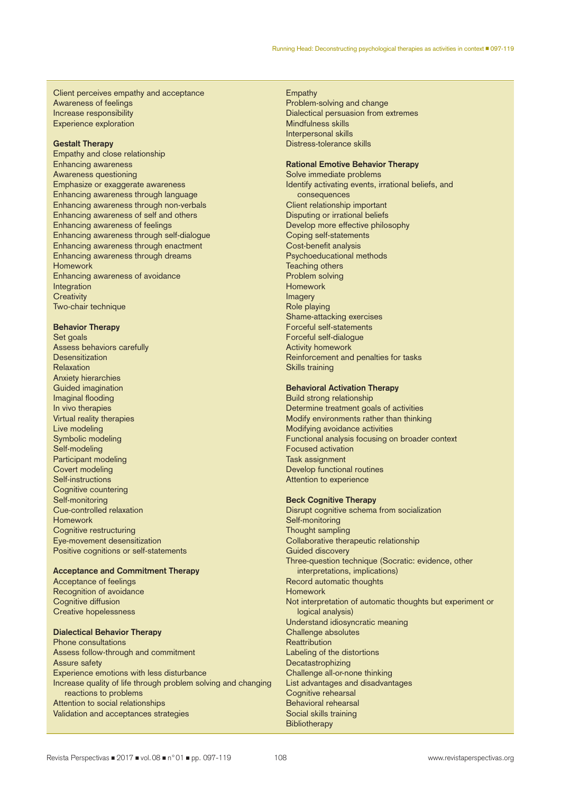Client perceives empathy and acceptance Awareness of feelings Increase responsibility Experience exploration

#### **Gestalt Therapy**

Empathy and close relationship Enhancing awareness Awareness questioning Emphasize or exaggerate awareness Enhancing awareness through language Enhancing awareness through non-verbals Enhancing awareness of self and others Enhancing awareness of feelings Enhancing awareness through self-dialogue Enhancing awareness through enactment Enhancing awareness through dreams Homework Enhancing awareness of avoidance **Integration Creativity** Two-chair technique

#### **Behavior Therapy**

Set goals Assess behaviors carefully **Desensitization** Relaxation Anxiety hierarchies Guided imagination Imaginal flooding In vivo therapies Virtual reality therapies Live modeling Symbolic modeling Self-modeling Participant modeling Covert modeling Self-instructions Cognitive countering Self-monitoring Cue-controlled relaxation Homework Cognitive restructuring Eye-movement desensitization Positive cognitions or self-statements

## **Acceptance and Commitment Therapy**

Acceptance of feelings Recognition of avoidance Cognitive diffusion Creative hopelessness

#### **Dialectical Behavior Therapy**

Phone consultations Assess follow-through and commitment Assure safety Experience emotions with less disturbance Increase quality of life through problem solving and changing reactions to problems Attention to social relationships Validation and acceptances strategies

#### Empathy

Problem-solving and change Dialectical persuasion from extremes Mindfulness skills Interpersonal skills Distress-tolerance skills

#### **Rational Emotive Behavior Therapy**

Solve immediate problems Identify activating events, irrational beliefs, and consequences Client relationship important Disputing or irrational beliefs Develop more effective philosophy Coping self-statements Cost-benefit analysis Psychoeducational methods Teaching others Problem solving Homework Imagery Role playing Shame-attacking exercises Forceful self-statements Forceful self-dialogue Activity homework Reinforcement and penalties for tasks Skills training

#### **Behavioral Activation Therapy**

Build strong relationship Determine treatment goals of activities Modify environments rather than thinking Modifying avoidance activities Functional analysis focusing on broader context Focused activation Task assignment Develop functional routines Attention to experience

## **Beck Cognitive Therapy**

Disrupt cognitive schema from socialization Self-monitoring Thought sampling Collaborative therapeutic relationship Guided discovery Three-question technique (Socratic: evidence, other interpretations, implications) Record automatic thoughts Homework Not interpretation of automatic thoughts but experiment or logical analysis) Understand idiosyncratic meaning Challenge absolutes **Reattribution** Labeling of the distortions Decatastrophizing Challenge all-or-none thinking List advantages and disadvantages Cognitive rehearsal Behavioral rehearsal Social skills training **Bibliotherapy**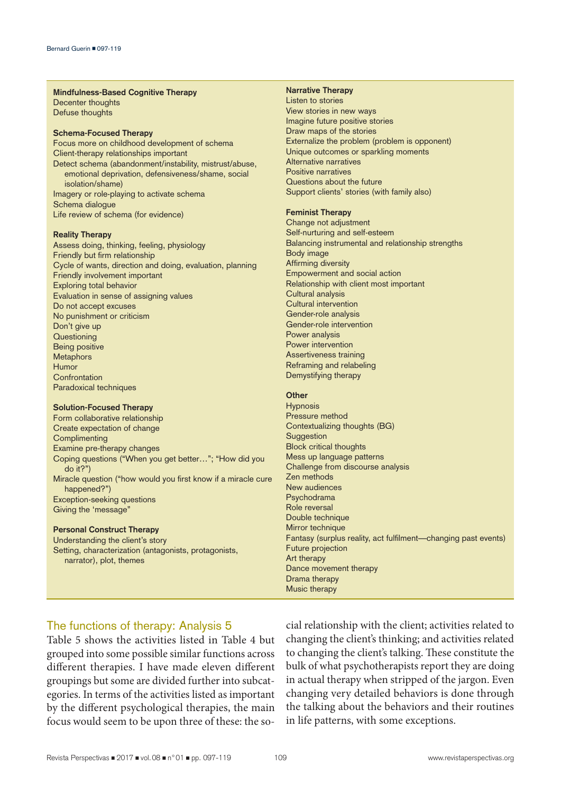#### **Mindfulness-Based Cognitive Therapy**

Decenter thoughts Defuse thoughts

#### **Schema-Focused Therapy**

Focus more on childhood development of schema Client-therapy relationships important Detect schema (abandonment/instability, mistrust/abuse, emotional deprivation, defensiveness/shame, social isolation/shame) Imagery or role-playing to activate schema Schema dialogue Life review of schema (for evidence)

#### **Reality Therapy**

Assess doing, thinking, feeling, physiology Friendly but firm relationship Cycle of wants, direction and doing, evaluation, planning Friendly involvement important Exploring total behavior Evaluation in sense of assigning values Do not accept excuses No punishment or criticism Don't give up **Questioning** Being positive Metaphors Humor **Confrontation** Paradoxical techniques

#### **Solution-Focused Therapy**

Form collaborative relationship Create expectation of change **Complimenting** Examine pre-therapy changes Coping questions ("When you get better…"; "How did you do it?") Miracle question ("how would you first know if a miracle cure happened?") Exception-seeking questions Giving the 'message"

## **Personal Construct Therapy**

Understanding the client's story Setting, characterization (antagonists, protagonists, narrator), plot, themes

## **Narrative Therapy**

Listen to stories View stories in new ways Imagine future positive stories Draw maps of the stories Externalize the problem (problem is opponent) Unique outcomes or sparkling moments Alternative narratives Positive narratives Questions about the future Support clients' stories (with family also)

#### **Feminist Therapy**

Change not adjustment Self-nurturing and self-esteem Balancing instrumental and relationship strengths Body image Affirming diversity Empowerment and social action Relationship with client most important Cultural analysis Cultural intervention Gender-role analysis Gender-role intervention Power analysis Power intervention Assertiveness training Reframing and relabeling Demystifying therapy

## **Other**

**Hypnosis** Pressure method Contextualizing thoughts (BG) **Suggestion** Block critical thoughts Mess up language patterns Challenge from discourse analysis Zen methods New audiences Psychodrama Role reversal Double technique Mirror technique Fantasy (surplus reality, act fulfilment—changing past events) Future projection Art therapy Dance movement therapy Drama therapy Music therapy

## The functions of therapy: Analysis 5

Table 5 shows the activities listed in Table 4 but grouped into some possible similar functions across different therapies. I have made eleven different groupings but some are divided further into subcategories. In terms of the activities listed as important by the different psychological therapies, the main focus would seem to be upon three of these: the social relationship with the client; activities related to changing the client's thinking; and activities related to changing the client's talking. These constitute the bulk of what psychotherapists report they are doing in actual therapy when stripped of the jargon. Even changing very detailed behaviors is done through the talking about the behaviors and their routines in life patterns, with some exceptions.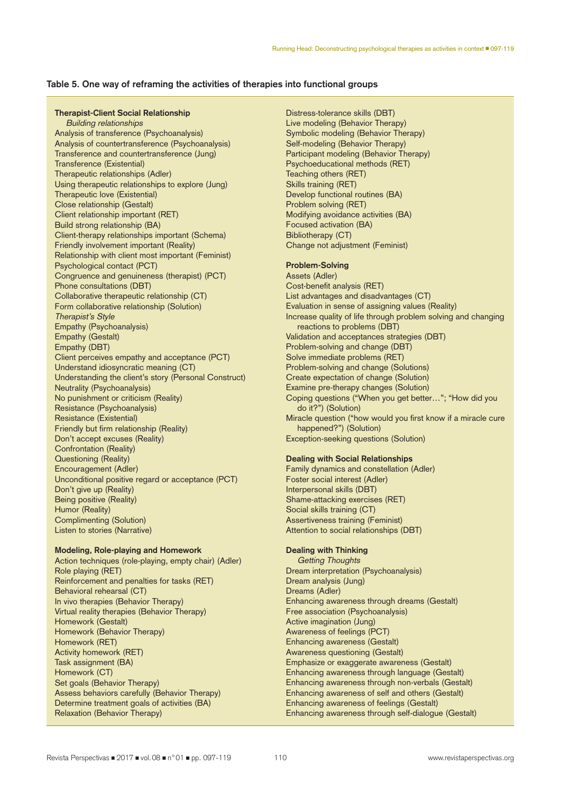## **Table 5. One way of reframing the activities of therapies into functional groups**

#### **Therapist-Client Social Relationship**

Building relationships Analysis of transference (Psychoanalysis) Analysis of countertransference (Psychoanalysis) Transference and countertransference (Jung) Transference (Existential) Therapeutic relationships (Adler) Using therapeutic relationships to explore (Jung) Therapeutic love (Existential) Close relationship (Gestalt) Client relationship important (RET) Build strong relationship (BA) Client-therapy relationships important (Schema) Friendly involvement important (Reality) Relationship with client most important (Feminist) Psychological contact (PCT) Congruence and genuineness (therapist) (PCT) Phone consultations (DBT) Collaborative therapeutic relationship (CT) Form collaborative relationship (Solution) Therapist's Style Empathy (Psychoanalysis) Empathy (Gestalt) Empathy (DBT) Client perceives empathy and acceptance (PCT) Understand idiosyncratic meaning (CT) Understanding the client's story (Personal Construct) Neutrality (Psychoanalysis) No punishment or criticism (Reality) Resistance (Psychoanalysis) Resistance (Existential) Friendly but firm relationship (Reality) Don't accept excuses (Reality) Confrontation (Reality) Questioning (Reality) Encouragement (Adler) Unconditional positive regard or acceptance (PCT) Don't give up (Reality) Being positive (Reality) Humor (Reality) Complimenting (Solution) Listen to stories (Narrative)

## **Modeling, Role-playing and Homework**

Action techniques (role-playing, empty chair) (Adler) Role playing (RET) Reinforcement and penalties for tasks (RET) Behavioral rehearsal (CT) In vivo therapies (Behavior Therapy) Virtual reality therapies (Behavior Therapy) Homework (Gestalt) Homework (Behavior Therapy) Homework (RET) Activity homework (RET) Task assignment (BA) Homework (CT) Set goals (Behavior Therapy) Assess behaviors carefully (Behavior Therapy) Determine treatment goals of activities (BA) Relaxation (Behavior Therapy)

Distress-tolerance skills (DBT) Live modeling (Behavior Therapy) Symbolic modeling (Behavior Therapy) Self-modeling (Behavior Therapy) Participant modeling (Behavior Therapy) Psychoeducational methods (RET) Teaching others (RET) Skills training (RET) Develop functional routines (BA) Problem solving (RET) Modifying avoidance activities (BA) Focused activation (BA) Bibliotherapy (CT) Change not adjustment (Feminist)

## **Problem-Solving**

Assets (Adler) Cost-benefit analysis (RET) List advantages and disadvantages (CT) Evaluation in sense of assigning values (Reality) Increase quality of life through problem solving and changing reactions to problems (DBT) Validation and acceptances strategies (DBT) Problem-solving and change (DBT) Solve immediate problems (RET) Problem-solving and change (Solutions) Create expectation of change (Solution) Examine pre-therapy changes (Solution) Coping questions ("When you get better…"; "How did you do it?") (Solution) Miracle question ("how would you first know if a miracle cure happened?") (Solution) Exception-seeking questions (Solution)

#### **Dealing with Social Relationships**

Family dynamics and constellation (Adler) Foster social interest (Adler) Interpersonal skills (DBT) Shame-attacking exercises (RET) Social skills training (CT) Assertiveness training (Feminist) Attention to social relationships (DBT)

## **Dealing with Thinking**

Getting Thoughts Dream interpretation (Psychoanalysis) Dream analysis (Jung) Dreams (Adler) Enhancing awareness through dreams (Gestalt) Free association (Psychoanalysis) Active imagination (Jung) Awareness of feelings (PCT) Enhancing awareness (Gestalt) Awareness questioning (Gestalt) Emphasize or exaggerate awareness (Gestalt) Enhancing awareness through language (Gestalt) Enhancing awareness through non-verbals (Gestalt) Enhancing awareness of self and others (Gestalt) Enhancing awareness of feelings (Gestalt) Enhancing awareness through self-dialogue (Gestalt)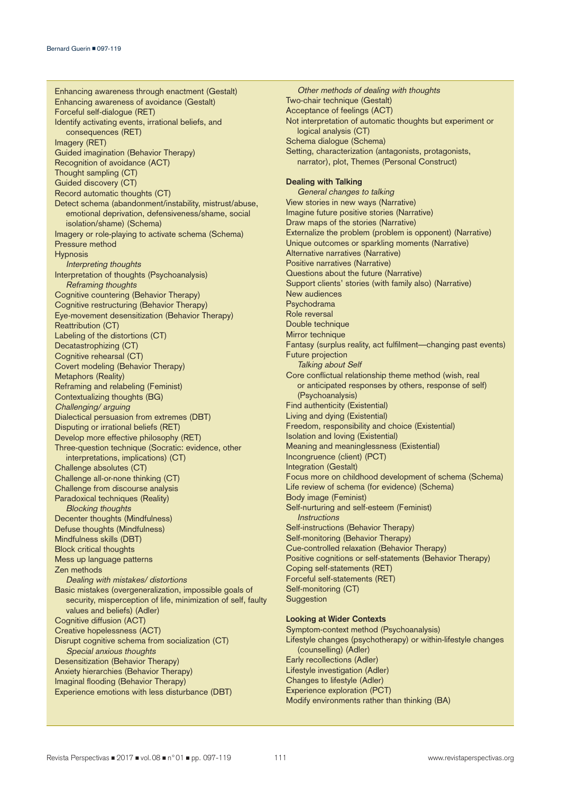Enhancing awareness through enactment (Gestalt) Enhancing awareness of avoidance (Gestalt) Forceful self-dialogue (RET) Identify activating events, irrational beliefs, and consequences (RET) Imagery (RET) Guided imagination (Behavior Therapy) Recognition of avoidance (ACT) Thought sampling (CT) Guided discovery (CT) Record automatic thoughts (CT) Detect schema (abandonment/instability, mistrust/abuse, emotional deprivation, defensiveness/shame, social isolation/shame) (Schema) Imagery or role-playing to activate schema (Schema) Pressure method **Hypnosis** Interpreting thoughts Interpretation of thoughts (Psychoanalysis) Reframing thoughts Cognitive countering (Behavior Therapy) Cognitive restructuring (Behavior Therapy) Eye-movement desensitization (Behavior Therapy) Reattribution (CT) Labeling of the distortions (CT) Decatastrophizing (CT) Cognitive rehearsal (CT) Covert modeling (Behavior Therapy) Metaphors (Reality) Reframing and relabeling (Feminist) Contextualizing thoughts (BG) Challenging/ arguing Dialectical persuasion from extremes (DBT) Disputing or irrational beliefs (RET) Develop more effective philosophy (RET) Three-question technique (Socratic: evidence, other interpretations, implications) (CT) Challenge absolutes (CT) Challenge all-or-none thinking (CT) Challenge from discourse analysis Paradoxical techniques (Reality) Blocking thoughts Decenter thoughts (Mindfulness) Defuse thoughts (Mindfulness) Mindfulness skills (DBT) Block critical thoughts Mess up language patterns Zen methods Dealing with mistakes/ distortions Basic mistakes (overgeneralization, impossible goals of security, misperception of life, minimization of self, faulty values and beliefs) (Adler) Cognitive diffusion (ACT) Creative hopelessness (ACT) Disrupt cognitive schema from socialization (CT) Special anxious thoughts Desensitization (Behavior Therapy) Anxiety hierarchies (Behavior Therapy) Imaginal flooding (Behavior Therapy) Experience emotions with less disturbance (DBT)

Other methods of dealing with thoughts Two-chair technique (Gestalt) Acceptance of feelings (ACT) Not interpretation of automatic thoughts but experiment or logical analysis (CT) Schema dialogue (Schema) Setting, characterization (antagonists, protagonists, narrator), plot, Themes (Personal Construct) **Dealing with Talking** General changes to talking View stories in new ways (Narrative) Imagine future positive stories (Narrative) Draw maps of the stories (Narrative) Externalize the problem (problem is opponent) (Narrative) Unique outcomes or sparkling moments (Narrative) Alternative narratives (Narrative) Positive narratives (Narrative) Questions about the future (Narrative) Support clients' stories (with family also) (Narrative) New audiences Psychodrama Role reversal Double technique Mirror technique Fantasy (surplus reality, act fulfilment—changing past events) Future projection Talking about Self Core conflictual relationship theme method (wish, real or anticipated responses by others, response of self) (Psychoanalysis) Find authenticity (Existential) Living and dying (Existential) Freedom, responsibility and choice (Existential) Isolation and loving (Existential) Meaning and meaninglessness (Existential) Incongruence (client) (PCT) Integration (Gestalt) Focus more on childhood development of schema (Schema) Life review of schema (for evidence) (Schema) Body image (Feminist) Self-nurturing and self-esteem (Feminist) **Instructions** Self-instructions (Behavior Therapy) Self-monitoring (Behavior Therapy) Cue-controlled relaxation (Behavior Therapy) Positive cognitions or self-statements (Behavior Therapy) Coping self-statements (RET) Forceful self-statements (RET) Self-monitoring (CT) **Suggestion** 

## **Looking at Wider Contexts**

Symptom-context method (Psychoanalysis) Lifestyle changes (psychotherapy) or within-lifestyle changes (counselling) (Adler) Early recollections (Adler) Lifestyle investigation (Adler) Changes to lifestyle (Adler) Experience exploration (PCT) Modify environments rather than thinking (BA)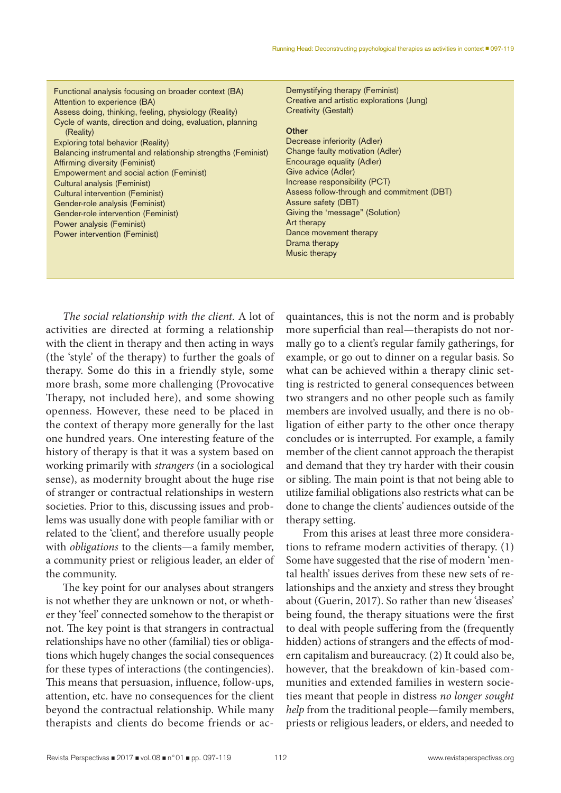| Functional analysis focusing on broader context (BA)<br>Attention to experience (BA)<br>Assess doing, thinking, feeling, physiology (Reality)<br>Cycle of wants, direction and doing, evaluation, planning<br>(Reality) | Demystifying therapy (Feminist)<br>Creative and artistic explorations (Jung)<br><b>Creativity (Gestalt)</b><br><b>Other</b> |
|-------------------------------------------------------------------------------------------------------------------------------------------------------------------------------------------------------------------------|-----------------------------------------------------------------------------------------------------------------------------|
| Exploring total behavior (Reality)                                                                                                                                                                                      | Decrease inferiority (Adler)                                                                                                |
| Balancing instrumental and relationship strengths (Feminist)                                                                                                                                                            | Change faulty motivation (Adler)                                                                                            |
| <b>Affirming diversity (Feminist)</b>                                                                                                                                                                                   | Encourage equality (Adler)                                                                                                  |
| Empowerment and social action (Feminist)                                                                                                                                                                                | Give advice (Adler)                                                                                                         |
| Cultural analysis (Feminist)                                                                                                                                                                                            | Increase responsibility (PCT)                                                                                               |
| Cultural intervention (Feminist)                                                                                                                                                                                        | Assess follow-through and commitment (DBT)                                                                                  |
| Gender-role analysis (Feminist)                                                                                                                                                                                         | Assure safety (DBT)                                                                                                         |
| Gender-role intervention (Feminist)                                                                                                                                                                                     | Giving the 'message" (Solution)                                                                                             |
| Power analysis (Feminist)                                                                                                                                                                                               | Art therapy                                                                                                                 |
| Power intervention (Feminist)                                                                                                                                                                                           | Dance movement therapy                                                                                                      |
|                                                                                                                                                                                                                         | Drama therapy                                                                                                               |
|                                                                                                                                                                                                                         | Music therapy                                                                                                               |
|                                                                                                                                                                                                                         |                                                                                                                             |

*The social relationship with the client.* A lot of activities are directed at forming a relationship with the client in therapy and then acting in ways (the 'style' of the therapy) to further the goals of therapy. Some do this in a friendly style, some more brash, some more challenging (Provocative Therapy, not included here), and some showing openness. However, these need to be placed in the context of therapy more generally for the last one hundred years. One interesting feature of the history of therapy is that it was a system based on working primarily with *strangers* (in a sociological sense), as modernity brought about the huge rise of stranger or contractual relationships in western societies. Prior to this, discussing issues and problems was usually done with people familiar with or related to the 'client', and therefore usually people with *obligations* to the clients—a family member, a community priest or religious leader, an elder of the community.

The key point for our analyses about strangers is not whether they are unknown or not, or whether they 'feel' connected somehow to the therapist or not. The key point is that strangers in contractual relationships have no other (familial) ties or obligations which hugely changes the social consequences for these types of interactions (the contingencies). This means that persuasion, influence, follow-ups, attention, etc. have no consequences for the client beyond the contractual relationship. While many therapists and clients do become friends or acquaintances, this is not the norm and is probably more superficial than real—therapists do not normally go to a client's regular family gatherings, for example, or go out to dinner on a regular basis. So what can be achieved within a therapy clinic setting is restricted to general consequences between two strangers and no other people such as family members are involved usually, and there is no obligation of either party to the other once therapy concludes or is interrupted. For example, a family member of the client cannot approach the therapist and demand that they try harder with their cousin or sibling. The main point is that not being able to utilize familial obligations also restricts what can be done to change the clients' audiences outside of the therapy setting.

From this arises at least three more considerations to reframe modern activities of therapy. (1) Some have suggested that the rise of modern 'mental health' issues derives from these new sets of relationships and the anxiety and stress they brought about (Guerin, 2017). So rather than new 'diseases' being found, the therapy situations were the first to deal with people suffering from the (frequently hidden) actions of strangers and the effects of modern capitalism and bureaucracy. (2) It could also be, however, that the breakdown of kin-based communities and extended families in western societies meant that people in distress *no longer sought help* from the traditional people—family members, priests or religious leaders, or elders, and needed to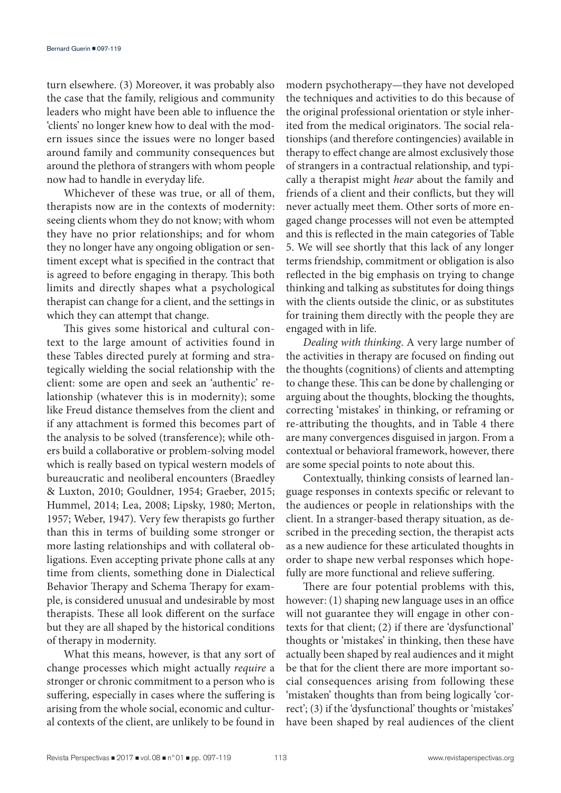turn elsewhere. (3) Moreover, it was probably also the case that the family, religious and community leaders who might have been able to influence the 'clients' no longer knew how to deal with the modern issues since the issues were no longer based around family and community consequences but around the plethora of strangers with whom people now had to handle in everyday life.

Whichever of these was true, or all of them, therapists now are in the contexts of modernity: seeing clients whom they do not know; with whom they have no prior relationships; and for whom they no longer have any ongoing obligation or sentiment except what is specified in the contract that is agreed to before engaging in therapy. This both limits and directly shapes what a psychological therapist can change for a client, and the settings in which they can attempt that change.

This gives some historical and cultural context to the large amount of activities found in these Tables directed purely at forming and strategically wielding the social relationship with the client: some are open and seek an 'authentic' relationship (whatever this is in modernity); some like Freud distance themselves from the client and if any attachment is formed this becomes part of the analysis to be solved (transference); while others build a collaborative or problem-solving model which is really based on typical western models of bureaucratic and neoliberal encounters (Braedley & Luxton, 2010; Gouldner, 1954; Graeber, 2015; Hummel, 2014; Lea, 2008; Lipsky, 1980; Merton, 1957; Weber, 1947). Very few therapists go further than this in terms of building some stronger or more lasting relationships and with collateral obligations. Even accepting private phone calls at any time from clients, something done in Dialectical Behavior Therapy and Schema Therapy for example, is considered unusual and undesirable by most therapists. These all look different on the surface but they are all shaped by the historical conditions of therapy in modernity.

What this means, however, is that any sort of change processes which might actually *require* a stronger or chronic commitment to a person who is suffering, especially in cases where the suffering is arising from the whole social, economic and cultural contexts of the client, are unlikely to be found in

modern psychotherapy—they have not developed the techniques and activities to do this because of the original professional orientation or style inherited from the medical originators. The social relationships (and therefore contingencies) available in therapy to effect change are almost exclusively those of strangers in a contractual relationship, and typically a therapist might *hear* about the family and friends of a client and their conflicts, but they will never actually meet them. Other sorts of more engaged change processes will not even be attempted and this is reflected in the main categories of Table 5. We will see shortly that this lack of any longer terms friendship, commitment or obligation is also reflected in the big emphasis on trying to change thinking and talking as substitutes for doing things with the clients outside the clinic, or as substitutes for training them directly with the people they are engaged with in life.

*Dealing with thinking*. A very large number of the activities in therapy are focused on finding out the thoughts (cognitions) of clients and attempting to change these. This can be done by challenging or arguing about the thoughts, blocking the thoughts, correcting 'mistakes' in thinking, or reframing or re-attributing the thoughts, and in Table 4 there are many convergences disguised in jargon. From a contextual or behavioral framework, however, there are some special points to note about this.

Contextually, thinking consists of learned language responses in contexts specific or relevant to the audiences or people in relationships with the client. In a stranger-based therapy situation, as described in the preceding section, the therapist acts as a new audience for these articulated thoughts in order to shape new verbal responses which hopefully are more functional and relieve suffering.

There are four potential problems with this, however: (1) shaping new language uses in an office will not guarantee they will engage in other contexts for that client; (2) if there are 'dysfunctional' thoughts or 'mistakes' in thinking, then these have actually been shaped by real audiences and it might be that for the client there are more important social consequences arising from following these 'mistaken' thoughts than from being logically 'correct'; (3) if the 'dysfunctional' thoughts or 'mistakes' have been shaped by real audiences of the client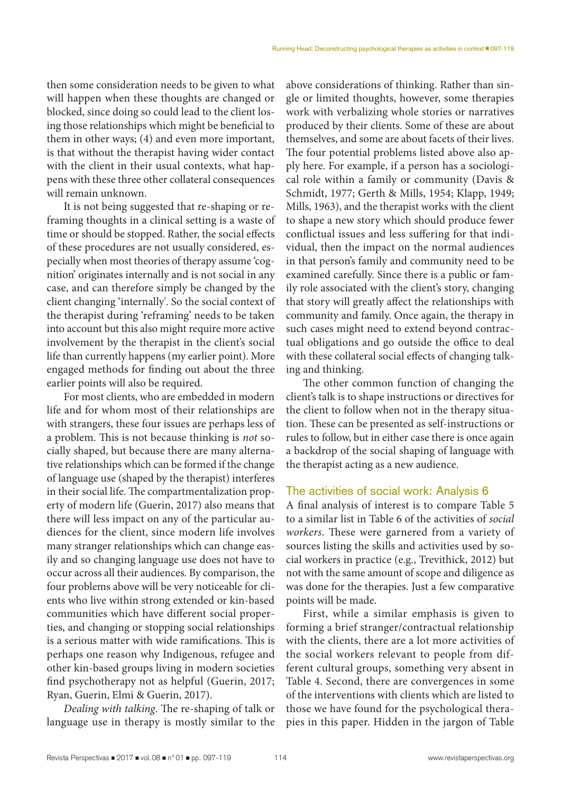then some consideration needs to be given to what will happen when these thoughts are changed or blocked, since doing so could lead to the client losing those relationships which might be beneficial to them in other ways; (4) and even more important, is that without the therapist having wider contact with the client in their usual contexts, what happens with these three other collateral consequences will remain unknown.

It is not being suggested that re-shaping or reframing thoughts in a clinical setting is a waste of time or should be stopped. Rather, the social effects of these procedures are not usually considered, especially when most theories of therapy assume 'cognition' originates internally and is not social in any case, and can therefore simply be changed by the client changing 'internally'. So the social context of the therapist during 'reframing' needs to be taken into account but this also might require more active involvement by the therapist in the client's social life than currently happens (my earlier point). More engaged methods for finding out about the three earlier points will also be required.

For most clients, who are embedded in modern life and for whom most of their relationships are with strangers, these four issues are perhaps less of a problem. This is not because thinking is *not* socially shaped, but because there are many alternative relationships which can be formed if the change of language use (shaped by the therapist) interferes in their social life. The compartmentalization property of modern life (Guerin, 2017) also means that there will less impact on any of the particular audiences for the client, since modern life involves many stranger relationships which can change easily and so changing language use does not have to occur across all their audiences. By comparison, the four problems above will be very noticeable for clients who live within strong extended or kin-based communities which have different social properties, and changing or stopping social relationships is a serious matter with wide ramifications. This is perhaps one reason why Indigenous, refugee and other kin-based groups living in modern societies find psychotherapy not as helpful (Guerin, 2017; Ryan, Guerin, Elmi & Guerin, 2017).

*Dealing with talking*. The re-shaping of talk or language use in therapy is mostly similar to the above considerations of thinking. Rather than single or limited thoughts, however, some therapies work with verbalizing whole stories or narratives produced by their clients. Some of these are about themselves, and some are about facets of their lives. The four potential problems listed above also apply here. For example, if a person has a sociological role within a family or community (Davis & Schmidt, 1977; Gerth & Mills, 1954; Klapp, 1949; Mills, 1963), and the therapist works with the client to shape a new story which should produce fewer conflictual issues and less suffering for that individual, then the impact on the normal audiences in that person's family and community need to be examined carefully. Since there is a public or family role associated with the client's story, changing that story will greatly affect the relationships with community and family. Once again, the therapy in such cases might need to extend beyond contractual obligations and go outside the office to deal with these collateral social effects of changing talking and thinking.

The other common function of changing the client's talk is to shape instructions or directives for the client to follow when not in the therapy situation. These can be presented as self-instructions or rules to follow, but in either case there is once again a backdrop of the social shaping of language with the therapist acting as a new audience.

# The activities of social work: Analysis 6

A final analysis of interest is to compare Table 5 to a similar list in Table 6 of the activities of *social workers*. These were garnered from a variety of sources listing the skills and activities used by social workers in practice (e.g., Trevithick, 2012) but not with the same amount of scope and diligence as was done for the therapies. Just a few comparative points will be made.

First, while a similar emphasis is given to forming a brief stranger/contractual relationship with the clients, there are a lot more activities of the social workers relevant to people from different cultural groups, something very absent in Table 4. Second, there are convergences in some of the interventions with clients which are listed to those we have found for the psychological therapies in this paper. Hidden in the jargon of Table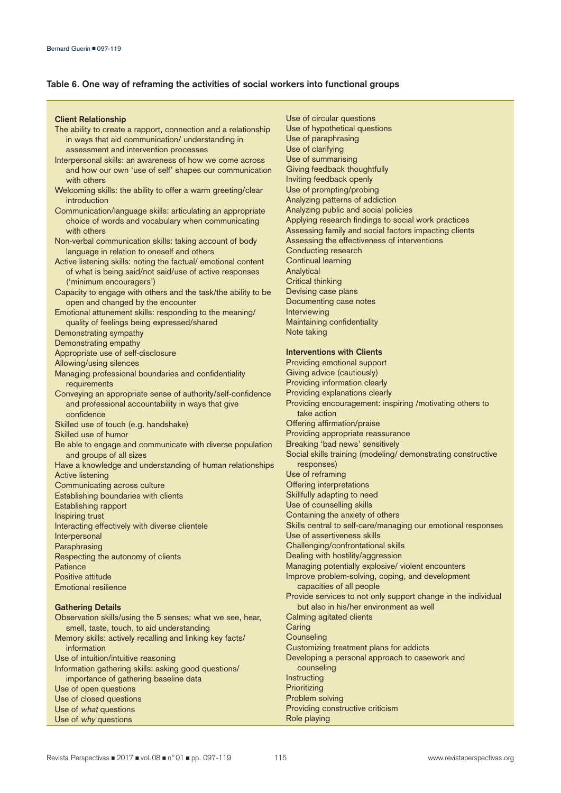## **Table 6. One way of reframing the activities of social workers into functional groups**

### **Client Relationship**

- The ability to create a rapport, connection and a relationship in ways that aid communication/ understanding in assessment and intervention processes
- Interpersonal skills: an awareness of how we come across and how our own 'use of self' shapes our communication with others
- Welcoming skills: the ability to offer a warm greeting/clear introduction
- Communication/language skills: articulating an appropriate choice of words and vocabulary when communicating with others
- Non-verbal communication skills: taking account of body language in relation to oneself and others
- Active listening skills: noting the factual/ emotional content of what is being said/not said/use of active responses ('minimum encouragers')
- Capacity to engage with others and the task/the ability to be open and changed by the encounter
- Emotional attunement skills: responding to the meaning/ quality of feelings being expressed/shared
- Demonstrating sympathy

Demonstrating empathy

Appropriate use of self-disclosure

- Allowing/using silences
- Managing professional boundaries and confidentiality requirements
- Conveying an appropriate sense of authority/self-confidence and professional accountability in ways that give confidence
- Skilled use of touch (e.g. handshake)

Skilled use of humor

- Be able to engage and communicate with diverse population and groups of all sizes
- Have a knowledge and understanding of human relationships Active listening Communicating across culture Establishing boundaries with clients Establishing rapport Inspiring trust
- Interacting effectively with diverse clientele Interpersonal Paraphrasing Respecting the autonomy of clients

**Patience** 

Positive attitude Emotional resilience

## **Gathering Details**

Observation skills/using the 5 senses: what we see, hear, smell, taste, touch, to aid understanding Memory skills: actively recalling and linking key facts/ information Use of intuition/intuitive reasoning Information gathering skills: asking good questions/ importance of gathering baseline data Use of open questions Use of closed questions Use of what questions Use of why questions

- Use of circular questions Use of hypothetical questions Use of paraphrasing Use of clarifying Use of summarising Giving feedback thoughtfully Inviting feedback openly Use of prompting/probing Analyzing patterns of addiction Analyzing public and social policies Applying research findings to social work practices Assessing family and social factors impacting clients Assessing the effectiveness of interventions Conducting research Continual learning Analytical Critical thinking Devising case plans Documenting case notes Interviewing Maintaining confidentiality
- Note taking

## **Interventions with Clients**

Providing emotional support Giving advice (cautiously) Providing information clearly Providing explanations clearly Providing encouragement: inspiring /motivating others to take action Offering affirmation/praise Providing appropriate reassurance Breaking 'bad news' sensitively Social skills training (modeling/ demonstrating constructive responses) Use of reframing Offering interpretations Skillfully adapting to need Use of counselling skills Containing the anxiety of others Skills central to self-care/managing our emotional responses Use of assertiveness skills Challenging/confrontational skills Dealing with hostility/aggression Managing potentially explosive/ violent encounters Improve problem-solving, coping, and development capacities of all people Provide services to not only support change in the individual but also in his/her environment as well Calming agitated clients **Caring Counseling** Customizing treatment plans for addicts Developing a personal approach to casework and counseling **Instructing Prioritizing** Problem solving Providing constructive criticism Role playing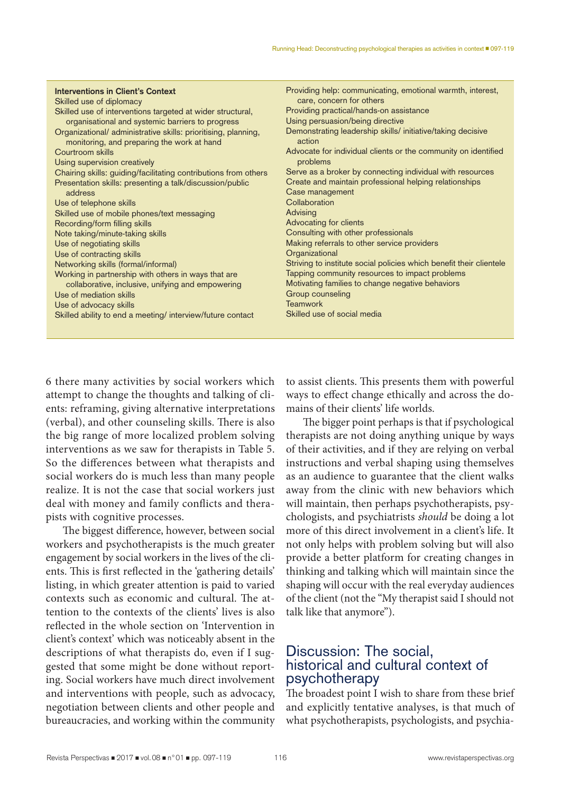| Interventions in Client's Context                                                                            | Providing help: communicating, emotional warmth, interest,            |
|--------------------------------------------------------------------------------------------------------------|-----------------------------------------------------------------------|
| Skilled use of diplomacy                                                                                     | care, concern for others                                              |
| Skilled use of interventions targeted at wider structural,                                                   | Providing practical/hands-on assistance                               |
| organisational and systemic barriers to progress                                                             | Using persuasion/being directive                                      |
| Organizational/ administrative skills: prioritising, planning,<br>monitoring, and preparing the work at hand | Demonstrating leadership skills/ initiative/taking decisive<br>action |
| Courtroom skills                                                                                             | Advocate for individual clients or the community on identified        |
| Using supervision creatively                                                                                 | problems                                                              |
| Chairing skills: guiding/facilitating contributions from others                                              | Serve as a broker by connecting individual with resources             |
| Presentation skills: presenting a talk/discussion/public                                                     | Create and maintain professional helping relationships                |
| address                                                                                                      | Case management                                                       |
| Use of telephone skills                                                                                      | Collaboration                                                         |
| Skilled use of mobile phones/text messaging                                                                  | Advising                                                              |
| Recording/form filling skills                                                                                | Advocating for clients                                                |
| Note taking/minute-taking skills                                                                             | Consulting with other professionals                                   |
| Use of negotiating skills                                                                                    | Making referrals to other service providers                           |
| Use of contracting skills                                                                                    | Organizational                                                        |
| Networking skills (formal/informal)                                                                          | Striving to institute social policies which benefit their clientele   |
| Working in partnership with others in ways that are                                                          | Tapping community resources to impact problems                        |
| collaborative, inclusive, unifying and empowering                                                            | Motivating families to change negative behaviors                      |
| Use of mediation skills                                                                                      | Group counseling                                                      |
| Use of advocacy skills                                                                                       | <b>Teamwork</b>                                                       |
| Skilled ability to end a meeting/ interview/future contact                                                   | Skilled use of social media                                           |
|                                                                                                              |                                                                       |
|                                                                                                              |                                                                       |

6 there many activities by social workers which attempt to change the thoughts and talking of clients: reframing, giving alternative interpretations (verbal), and other counseling skills. There is also the big range of more localized problem solving interventions as we saw for therapists in Table 5. So the differences between what therapists and social workers do is much less than many people realize. It is not the case that social workers just deal with money and family conflicts and therapists with cognitive processes.

The biggest difference, however, between social workers and psychotherapists is the much greater engagement by social workers in the lives of the clients. This is first reflected in the 'gathering details' listing, in which greater attention is paid to varied contexts such as economic and cultural. The attention to the contexts of the clients' lives is also reflected in the whole section on 'Intervention in client's context' which was noticeably absent in the descriptions of what therapists do, even if I suggested that some might be done without reporting. Social workers have much direct involvement and interventions with people, such as advocacy, negotiation between clients and other people and bureaucracies, and working within the community

to assist clients. This presents them with powerful ways to effect change ethically and across the domains of their clients' life worlds.

The bigger point perhaps is that if psychological therapists are not doing anything unique by ways of their activities, and if they are relying on verbal instructions and verbal shaping using themselves as an audience to guarantee that the client walks away from the clinic with new behaviors which will maintain, then perhaps psychotherapists, psychologists, and psychiatrists *should* be doing a lot more of this direct involvement in a client's life. It not only helps with problem solving but will also provide a better platform for creating changes in thinking and talking which will maintain since the shaping will occur with the real everyday audiences of the client (not the "My therapist said I should not talk like that anymore").

# Discussion: The social, historical and cultural context of psychotherapy

The broadest point I wish to share from these brief and explicitly tentative analyses, is that much of what psychotherapists, psychologists, and psychia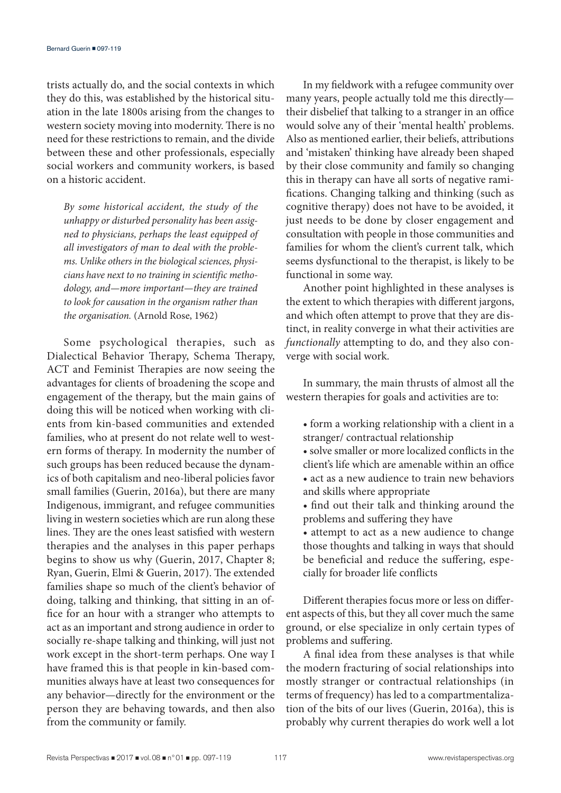trists actually do, and the social contexts in which they do this, was established by the historical situation in the late 1800s arising from the changes to western society moving into modernity. There is no need for these restrictions to remain, and the divide between these and other professionals, especially social workers and community workers, is based on a historic accident.

*By some historical accident, the study of the unhappy or disturbed personality has been assigned to physicians, perhaps the least equipped of all investigators of man to deal with the problems. Unlike others in the biological sciences, physicians have next to no training in scientific methodology, and—more important—they are trained to look for causation in the organism rather than the organisation.* (Arnold Rose, 1962)

Some psychological therapies, such as Dialectical Behavior Therapy, Schema Therapy, ACT and Feminist Therapies are now seeing the advantages for clients of broadening the scope and engagement of the therapy, but the main gains of doing this will be noticed when working with clients from kin-based communities and extended families, who at present do not relate well to western forms of therapy. In modernity the number of such groups has been reduced because the dynamics of both capitalism and neo-liberal policies favor small families (Guerin, 2016a), but there are many Indigenous, immigrant, and refugee communities living in western societies which are run along these lines. They are the ones least satisfied with western therapies and the analyses in this paper perhaps begins to show us why (Guerin, 2017, Chapter 8; Ryan, Guerin, Elmi & Guerin, 2017). The extended families shape so much of the client's behavior of doing, talking and thinking, that sitting in an office for an hour with a stranger who attempts to act as an important and strong audience in order to socially re-shape talking and thinking, will just not work except in the short-term perhaps. One way I have framed this is that people in kin-based communities always have at least two consequences for any behavior—directly for the environment or the person they are behaving towards, and then also from the community or family.

In my fieldwork with a refugee community over many years, people actually told me this directly their disbelief that talking to a stranger in an office would solve any of their 'mental health' problems. Also as mentioned earlier, their beliefs, attributions and 'mistaken' thinking have already been shaped by their close community and family so changing this in therapy can have all sorts of negative ramifications. Changing talking and thinking (such as cognitive therapy) does not have to be avoided, it just needs to be done by closer engagement and consultation with people in those communities and families for whom the client's current talk, which seems dysfunctional to the therapist, is likely to be functional in some way.

Another point highlighted in these analyses is the extent to which therapies with different jargons, and which often attempt to prove that they are distinct, in reality converge in what their activities are *functionally* attempting to do, and they also converge with social work.

In summary, the main thrusts of almost all the western therapies for goals and activities are to:

- form a working relationship with a client in a stranger/ contractual relationship
- solve smaller or more localized conflicts in the client's life which are amenable within an office • act as a new audience to train new behaviors and skills where appropriate
- find out their talk and thinking around the problems and suffering they have
- attempt to act as a new audience to change those thoughts and talking in ways that should be beneficial and reduce the suffering, especially for broader life conflicts

Different therapies focus more or less on different aspects of this, but they all cover much the same ground, or else specialize in only certain types of problems and suffering.

A final idea from these analyses is that while the modern fracturing of social relationships into mostly stranger or contractual relationships (in terms of frequency) has led to a compartmentalization of the bits of our lives (Guerin, 2016a), this is probably why current therapies do work well a lot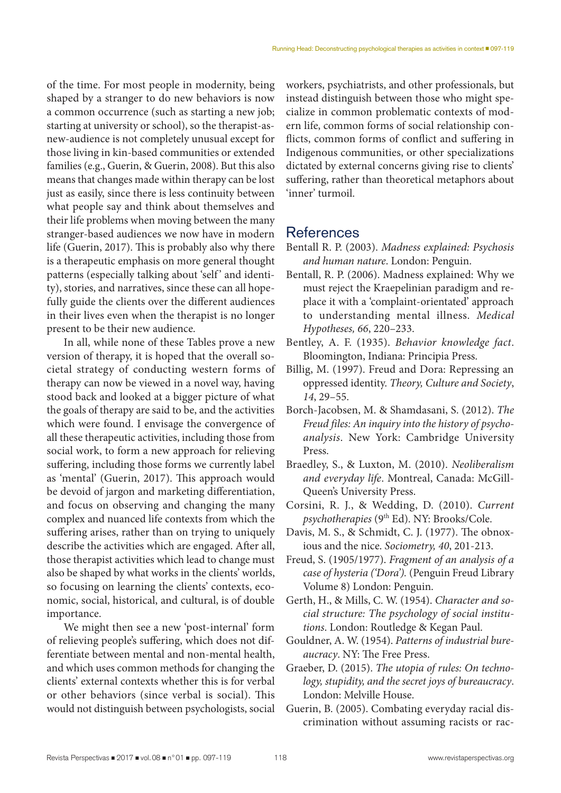of the time. For most people in modernity, being shaped by a stranger to do new behaviors is now a common occurrence (such as starting a new job; starting at university or school), so the therapist-asnew-audience is not completely unusual except for those living in kin-based communities or extended families (e.g., Guerin, & Guerin, 2008). But this also means that changes made within therapy can be lost just as easily, since there is less continuity between what people say and think about themselves and their life problems when moving between the many stranger-based audiences we now have in modern life (Guerin, 2017). This is probably also why there is a therapeutic emphasis on more general thought patterns (especially talking about 'self' and identity), stories, and narratives, since these can all hopefully guide the clients over the different audiences in their lives even when the therapist is no longer present to be their new audience.

In all, while none of these Tables prove a new version of therapy, it is hoped that the overall societal strategy of conducting western forms of therapy can now be viewed in a novel way, having stood back and looked at a bigger picture of what the goals of therapy are said to be, and the activities which were found. I envisage the convergence of all these therapeutic activities, including those from social work, to form a new approach for relieving suffering, including those forms we currently label as 'mental' (Guerin, 2017). This approach would be devoid of jargon and marketing differentiation, and focus on observing and changing the many complex and nuanced life contexts from which the suffering arises, rather than on trying to uniquely describe the activities which are engaged. After all, those therapist activities which lead to change must also be shaped by what works in the clients' worlds, so focusing on learning the clients' contexts, economic, social, historical, and cultural, is of double importance.

We might then see a new 'post-internal' form of relieving people's suffering, which does not differentiate between mental and non-mental health, and which uses common methods for changing the clients' external contexts whether this is for verbal or other behaviors (since verbal is social). This would not distinguish between psychologists, social workers, psychiatrists, and other professionals, but instead distinguish between those who might specialize in common problematic contexts of modern life, common forms of social relationship conflicts, common forms of conflict and suffering in Indigenous communities, or other specializations dictated by external concerns giving rise to clients' suffering, rather than theoretical metaphors about 'inner' turmoil.

# References

- Bentall R. P. (2003). *Madness explained: Psychosis and human nature*. London: Penguin.
- Bentall, R. P. (2006). Madness explained: Why we must reject the Kraepelinian paradigm and replace it with a 'complaint-orientated' approach to understanding mental illness. *Medical Hypotheses, 66*, 220–233.
- Bentley, A. F. (1935). *Behavior knowledge fact*. Bloomington, Indiana: Principia Press.
- Billig, M. (1997). Freud and Dora: Repressing an oppressed identity. *Theory, Culture and Society*, *14*, 29–55.
- Borch-Jacobsen, M. & Shamdasani, S. (2012). *The Freud files: An inquiry into the history of psychoanalysis*. New York: Cambridge University Press.
- Braedley, S., & Luxton, M. (2010). *Neoliberalism and everyday life*. Montreal, Canada: McGill-Queen's University Press.
- Corsini, R. J., & Wedding, D. (2010). *Current psychotherapies* (9th Ed). NY: Brooks/Cole.
- Davis, M. S., & Schmidt, C. J. (1977). The obnoxious and the nice. *Sociometry, 40*, 201-213.
- Freud, S. (1905/1977). *Fragment of an analysis of a case of hysteria ('Dora').* (Penguin Freud Library Volume 8) London: Penguin.
- Gerth, H., & Mills, C. W. (1954). *Character and social structure: The psychology of social institutions*. London: Routledge & Kegan Paul.
- Gouldner, A. W. (1954). *Patterns of industrial bureaucracy*. NY: The Free Press.
- Graeber, D. (2015). *The utopia of rules: On technology, stupidity, and the secret joys of bureaucracy*. London: Melville House.
- Guerin, B. (2005). Combating everyday racial discrimination without assuming racists or rac-